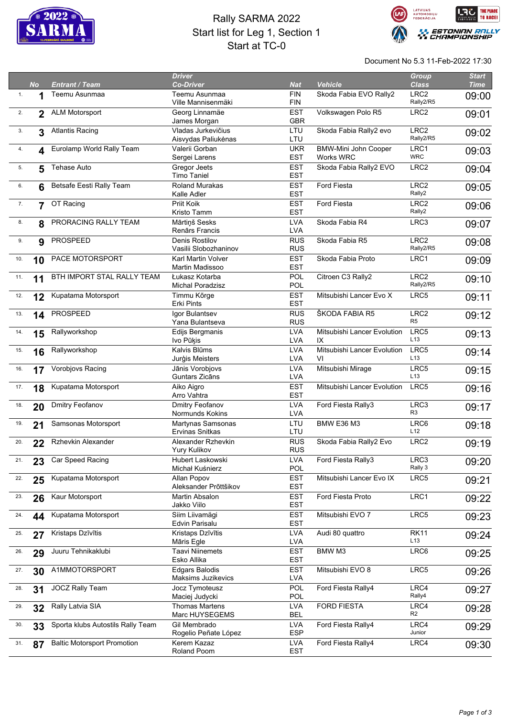

## Rally SARMA 2022 Start list for Leg 1, Section 1 Start at TC-0



Document No 5.3 11-Feb-2022 17:30

|     |                |                                    | <b>Driver</b>                       |                          |                             | Group                         | <b>Start</b> |
|-----|----------------|------------------------------------|-------------------------------------|--------------------------|-----------------------------|-------------------------------|--------------|
|     | <b>No</b>      | <b>Entrant / Team</b>              | <b>Co-Driver</b>                    | <b>Nat</b>               | <b>Vehicle</b>              | <b>Class</b>                  | <b>Time</b>  |
| 1.  |                | Teemu Asunmaa                      | Teemu Asunmaa<br>Ville Mannisenmäki | <b>FIN</b><br><b>FIN</b> | Skoda Fabia EVO Rally2      | LRC <sub>2</sub><br>Rally2/R5 | 09:00        |
| 2.  |                | <b>ALM Motorsport</b>              | Georg Linnamäe                      | <b>EST</b>               | Volkswagen Polo R5          | LRC <sub>2</sub>              |              |
|     | $\mathbf{2}$   |                                    | James Morgan                        | <b>GBR</b>               |                             |                               | 09:01        |
| 3.  | 3              | <b>Atlantis Racing</b>             | Vladas Jurkevičius                  | LTU                      | Skoda Fabia Rally2 evo      | LRC <sub>2</sub>              |              |
|     |                |                                    | Aisvydas Paliukėnas                 | LTU                      |                             | Rally2/R5                     | 09:02        |
| 4.  | 4              | Eurolamp World Rally Team          | Valerii Gorban                      | <b>UKR</b>               | BMW-Mini John Cooper        | LRC1                          | 09:03        |
|     |                |                                    | Sergei Larens                       | <b>EST</b>               | Works WRC                   | <b>WRC</b>                    |              |
| 5.  | 5              | <b>Tehase Auto</b>                 | Gregor Jeets                        | <b>EST</b>               | Skoda Fabia Rally2 EVO      | LRC <sub>2</sub>              | 09:04        |
|     |                |                                    | <b>Timo Taniel</b>                  | <b>EST</b>               |                             |                               |              |
| 6.  | 6              | Betsafe Eesti Rally Team           | <b>Roland Murakas</b>               | <b>EST</b>               | <b>Ford Fiesta</b>          | LRC <sub>2</sub>              | 09:05        |
|     |                |                                    | Kalle Adler                         | <b>EST</b>               |                             | Rally2                        |              |
| 7.  | $\overline{7}$ | OT Racing                          | Priit Koik                          | <b>EST</b>               | Ford Fiesta                 | LRC <sub>2</sub>              | 09:06        |
|     |                |                                    | Kristo Tamm                         | <b>EST</b>               |                             | Rally2                        |              |
| 8.  | 8              | PRORACING RALLY TEAM               | Mārtiņš Sesks                       | <b>LVA</b>               | Skoda Fabia R4              | LRC3                          | 09:07        |
|     |                |                                    | Renārs Francis                      | <b>LVA</b>               |                             |                               |              |
| 9.  | 9              | PROSPEED                           | <b>Denis Rostilov</b>               | <b>RUS</b>               | Skoda Fabia R5              | LRC <sub>2</sub>              | 09:08        |
|     |                |                                    | Vasilii Slobozhaninov               | <b>RUS</b>               |                             | Rally2/R5                     |              |
| 10. | 10             | PACE MOTORSPORT                    | <b>Karl Martin Volver</b>           | <b>EST</b>               | Skoda Fabia Proto           | LRC1                          | 09:09        |
|     |                |                                    | Martin Madissoo                     | <b>EST</b>               |                             |                               |              |
| 11. | 11             | BTH IMPORT STAL RALLY TEAM         | Łukasz Kotarba                      | POL                      | Citroen C3 Rally2           | LRC <sub>2</sub>              | 09:10        |
|     |                |                                    | Michal Poradzisz                    | POL                      |                             | Rally2/R5                     |              |
| 12. | 12             | Kupatama Motorsport                | Timmu Kõrge                         | <b>EST</b>               | Mitsubishi Lancer Evo X     | LRC5                          | 09:11        |
|     |                |                                    | Erki Pints                          | <b>EST</b>               |                             |                               |              |
| 13. | 14             | PROSPEED                           | Igor Bulantsev                      | <b>RUS</b>               | ŠKODA FABIA R5              | LRC <sub>2</sub>              | 09:12        |
|     |                |                                    | Yana Bulantseva                     | <b>RUS</b>               |                             | R <sub>5</sub>                |              |
| 14. | 15             | Rallyworkshop                      | Edijs Bergmanis                     | <b>LVA</b>               | Mitsubishi Lancer Evolution | LRC5                          | 09:13        |
|     |                |                                    | Ivo Pūķis                           | <b>LVA</b>               | IX                          | L13                           |              |
| 15. | 16             | Rallyworkshop                      | Kalvis Blūms                        | <b>LVA</b>               | Mitsubishi Lancer Evolution | LRC5                          | 09:14        |
|     |                |                                    | Jurģis Meisters                     | <b>LVA</b>               | VI                          | L <sub>13</sub>               |              |
| 16. | 17             | Vorobjovs Racing                   | Jānis Vorobjovs                     | <b>LVA</b>               | Mitsubishi Mirage           | LRC5                          | 09:15        |
|     |                |                                    | Guntars Zicāns                      | <b>LVA</b>               |                             | L <sub>13</sub>               |              |
| 17. | 18             | Kupatama Motorsport                | Aiko Aigro                          | <b>EST</b>               | Mitsubishi Lancer Evolution | LRC5                          | 09:16        |
|     |                |                                    | Arro Vahtra                         | <b>EST</b>               |                             |                               |              |
| 18. | 20             | Dmitry Feofanov                    | Dmitry Feofanov                     | <b>LVA</b>               | Ford Fiesta Rally3          | LRC3                          | 09:17        |
|     |                |                                    | Normunds Kokins                     | LVA                      |                             | R <sub>3</sub>                |              |
| 19. | 21             | Samsonas Motorsport                | Martynas Samsonas                   | LTU                      | <b>BMW E36 M3</b>           | LRC6                          | 09:18        |
|     |                |                                    | Ervinas Snitkas                     | LTU                      |                             | L12                           |              |
| 20. | 22             | Rzhevkin Alexander                 | Alexander Rzhevkin                  | <b>RUS</b>               | Skoda Fabia Rally2 Evo      | LRC <sub>2</sub>              | 09:19        |
|     |                |                                    | Yury Kulikov                        | <b>RUS</b>               |                             |                               |              |
| 21. | 23             | Car Speed Racing                   | Hubert Laskowski                    | <b>LVA</b>               | Ford Fiesta Rally3          | LRC3                          | 09:20        |
|     |                |                                    | Michał Kuśnierz                     | POL                      |                             | Rally 3                       |              |
| 22. | 25             | Kupatama Motorsport                | Allan Popov                         | <b>EST</b>               | Mitsubishi Lancer Evo IX    | LRC5                          | 09:21        |
|     |                |                                    | Aleksander Prõttšikov               | <b>EST</b>               |                             |                               |              |
| 23. | 26             | Kaur Motorsport                    | Martin Absalon                      | <b>EST</b>               | Ford Fiesta Proto           | LRC1                          | 09:22        |
|     |                |                                    | Jakko Viilo                         | <b>EST</b>               |                             |                               |              |
| 24. | 44             | Kupatama Motorsport                | Siim Liivamägi                      | <b>EST</b>               | Mitsubishi EVO 7            | LRC5                          | 09:23        |
|     |                |                                    | Edvin Parisalu                      | <b>EST</b>               |                             |                               |              |
| 25. | 27             | Kristaps Dzīvītis                  | Kristaps Dzīvītis                   | <b>LVA</b>               | Audi 80 quattro             | <b>RK11</b>                   | 09:24        |
|     |                |                                    | Māris Egle                          | <b>LVA</b>               |                             | L13                           |              |
| 26. | 29             | Juuru Tehnikaklubi                 | <b>Taavi Niinemets</b>              | <b>EST</b>               | BMW M3                      | LRC6                          | 09:25        |
|     |                |                                    | Esko Allika                         | <b>EST</b>               |                             |                               |              |
| 27. | 30             | A1MMOTORSPORT                      | <b>Edgars Balodis</b>               | <b>EST</b>               | Mitsubishi EVO 8            | LRC5                          | 09:26        |
|     |                |                                    | Maksims Juzikevics                  | <b>LVA</b>               |                             |                               |              |
| 28. | 31             | <b>JOCZ Rally Team</b>             | Jocz Tymoteusz                      | <b>POL</b>               | Ford Fiesta Rally4          | LRC4                          | 09:27        |
|     |                |                                    | Maciej Judycki                      | POL                      |                             | Rally4                        |              |
| 29. | 32             | Rally Latvia SIA                   | <b>Thomas Martens</b>               | <b>LVA</b>               | <b>FORD FIESTA</b>          | LRC4                          | 09:28        |
|     |                |                                    | Marc HUYSEGEMS                      | <b>BEL</b>               |                             | R <sub>2</sub>                |              |
| 30. | 33             | Sporta klubs Autostils Rally Team  | Gil Membrado                        | <b>LVA</b>               | Ford Fiesta Rally4          | LRC4                          | 09:29        |
|     |                |                                    | Rogelio Peñate López                | <b>ESP</b>               |                             | Junior                        |              |
| 31. | 87             | <b>Baltic Motorsport Promotion</b> | Kerem Kazaz                         | <b>LVA</b>               | Ford Fiesta Rally4          | LRC4                          | 09:30        |
|     |                |                                    | Roland Poom                         | <b>EST</b>               |                             |                               |              |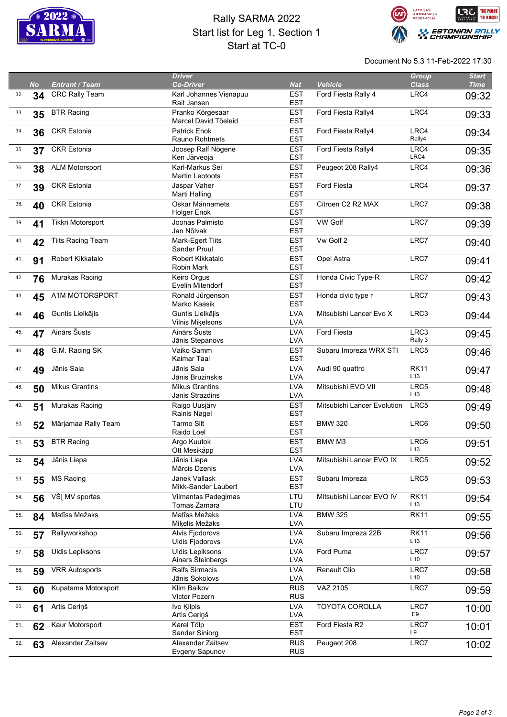

## Rally SARMA 2022 Start list for Leg 1, Section 1 Start at TC-0



Document No 5.3 11-Feb-2022 17:30

|     |           |                          | <b>Driver</b>           |            |                             | <b>Group</b>     | <b>Start</b> |
|-----|-----------|--------------------------|-------------------------|------------|-----------------------------|------------------|--------------|
|     | <b>No</b> | <b>Entrant / Team</b>    | <b>Co-Driver</b>        | <b>Nat</b> | <b>Vehicle</b>              | <b>Class</b>     | <b>Time</b>  |
| 32. | 34        | CRC Rally Team           | Karl Johannes Visnapuu  | <b>EST</b> | Ford Fiesta Rally 4         | LRC4             | 09:32        |
|     |           |                          | Rait Jansen             | <b>EST</b> |                             |                  |              |
| 33. | 35        | <b>BTR Racing</b>        | Pranko Kõrgesaar        | <b>EST</b> | Ford Fiesta Rally4          | LRC4             | 09:33        |
|     |           |                          | Marcel David Tõeleid    | <b>EST</b> |                             |                  |              |
| 34. |           | <b>CKR Estonia</b>       | <b>Patrick Enok</b>     | <b>EST</b> | Ford Fiesta Rally4          | LRC4             |              |
|     | 36        |                          | Rauno Rohtmets          | <b>EST</b> |                             | Rally4           | 09:34        |
|     |           |                          |                         |            |                             | LRC4             |              |
| 35. | 37        | <b>CKR Estonia</b>       | Joosep Ralf Nõgene      | <b>EST</b> | Ford Fiesta Rally4          | LRC4             | 09:35        |
|     |           |                          | Ken Järveoja            | <b>EST</b> |                             |                  |              |
| 36. | 38        | <b>ALM Motorsport</b>    | Karl-Markus Sei         | <b>EST</b> | Peugeot 208 Rally4          | LRC4             | 09:36        |
|     |           |                          | <b>Martin Leotoots</b>  | <b>EST</b> |                             |                  |              |
| 37. | 39        | <b>CKR Estonia</b>       | Jaspar Vaher            | <b>EST</b> | <b>Ford Fiesta</b>          | LRC4             | 09:37        |
|     |           |                          | Marti Halling           | <b>EST</b> |                             |                  |              |
| 38. | 40        | <b>CKR Estonia</b>       | Oskar Männamets         | <b>EST</b> | Citroen C2 R2 MAX           | LRC7             | 09:38        |
|     |           |                          | <b>Holger Enok</b>      | <b>EST</b> |                             |                  |              |
| 39. |           | Tikkri Motorsport        | Joonas Palmisto         | <b>EST</b> | <b>VW Golf</b>              | LRC7             |              |
|     | 41        |                          | Jan Nõlvak              | <b>EST</b> |                             |                  | 09:39        |
|     |           |                          |                         |            |                             |                  |              |
| 40. | 42        | <b>Tiits Racing Team</b> | Mark-Egert Tiits        | <b>EST</b> | Vw Golf 2                   | LRC7             | 09:40        |
|     |           |                          | Sander Pruul            | <b>EST</b> |                             |                  |              |
| 41. | 91        | Robert Kikkatalo         | Robert Kikkatalo        | <b>EST</b> | Opel Astra                  | LRC7             | 09:41        |
|     |           |                          | Robin Mark              | <b>EST</b> |                             |                  |              |
| 42. | 76        | Murakas Racing           | Keiro Orgus             | <b>EST</b> | Honda Civic Type-R          | LRC7             | 09:42        |
|     |           |                          | Evelin Mitendorf        | <b>EST</b> |                             |                  |              |
| 43. | 45        | A1M MOTORSPORT           | Ronald Jürgenson        | <b>EST</b> | Honda civic type r          | LRC7             | 09:43        |
|     |           |                          | Marko Kaasik            | <b>EST</b> |                             |                  |              |
| 44. |           | Guntis Lielkājis         | Guntis Lielkājis        | <b>LVA</b> | Mitsubishi Lancer Evo X     | LRC3             |              |
|     | 46        |                          | <b>Vilnis Mikelsons</b> | <b>LVA</b> |                             |                  | 09:44        |
|     |           |                          |                         |            |                             |                  |              |
| 45. | 47        | Ainārs Šusts             | Ainārs Šusts            | <b>LVA</b> | Ford Fiesta                 | LRC3             | 09:45        |
|     |           |                          | Jānis Stepanovs         | <b>LVA</b> |                             | Rally 3          |              |
| 46. | 48        | G.M. Racing SK           | Vaiko Samm              | <b>EST</b> | Subaru Impreza WRX STI      | LRC5             | 09:46        |
|     |           |                          | Kaimar Taal             | <b>EST</b> |                             |                  |              |
| 47. | 49        | Jānis Sala               | Jānis Sala              | <b>LVA</b> | Audi 90 quattro             | <b>RK11</b>      | 09:47        |
|     |           |                          | Jānis Bruzinskis        | <b>LVA</b> |                             | L <sub>13</sub>  |              |
| 48. | 50        | <b>Mikus Grantins</b>    | <b>Mikus Grantins</b>   | <b>LVA</b> | Mitsubishi EVO VII          | LRC5             | 09:48        |
|     |           |                          | Janis Strazdins         | <b>LVA</b> |                             | L13              |              |
| 49. |           | Murakas Racing           | Raigo Uusjärv           | <b>EST</b> | Mitsubishi Lancer Evolution | LRC <sub>5</sub> |              |
|     | 51        |                          | Rainis Nagel            | <b>EST</b> |                             |                  | 09:49        |
|     |           |                          |                         |            |                             |                  |              |
| 50. | 52        | Märjamaa Rally Team      | Tarmo Silt              | <b>EST</b> | <b>BMW 320</b>              | LRC6             | 09:50        |
|     |           |                          | Raido Loel              | <b>EST</b> |                             |                  |              |
| 51. | 53        | <b>BTR Racing</b>        | Argo Kuutok             | <b>EST</b> | BMW M3                      | LRC6             | 09:51        |
|     |           |                          | Ott Mesikäpp            | <b>EST</b> |                             | L13              |              |
| 52. | 54        | Jānis Liepa              | Jānis Liepa             | <b>LVA</b> | Mitsubishi Lancer EVO IX    | LRC5             | 09:52        |
|     |           |                          | Mārcis Dzenis           | <b>LVA</b> |                             |                  |              |
| 53. | 55        | <b>MS Racing</b>         | Janek Vallask           | <b>EST</b> | Subaru Impreza              | LRC5             | 09:53        |
|     |           |                          | Mikk-Sander Laubert     | <b>EST</b> |                             |                  |              |
| 54. | 56        | VŠĮ MV sportas           | Vilmantas Padegimas     | LTU        | Mitsubishi Lancer EVO IV    | <b>RK11</b>      |              |
|     |           |                          | Tomas Zamara            | LTU        |                             | L <sub>13</sub>  | 09:54        |
|     |           |                          |                         |            |                             |                  |              |
| 55. | 84        | Matīss Mežaks            | Matīss Mežaks           | <b>LVA</b> | <b>BMW 325</b>              | <b>RK11</b>      | 09:55        |
|     |           |                          | Miķelis Mežaks          | <b>LVA</b> |                             |                  |              |
| 56. | 57        | Rallyworkshop            | Alvis Fjodorovs         | <b>LVA</b> | Subaru Impreza 22B          | <b>RK11</b>      | 09:56        |
|     |           |                          | <b>Uldis Fjodorovs</b>  | <b>LVA</b> |                             | L <sub>13</sub>  |              |
| 57. | 58        | <b>Uldis Lepiksons</b>   | <b>Uldis Lepiksons</b>  | <b>LVA</b> | Ford Puma                   | LRC7             | 09:57        |
|     |           |                          | Ainars Šteinbergs       | <b>LVA</b> |                             | L10              |              |
| 58. | 59        | <b>VRR Autosports</b>    | <b>Ralfs Sirmacis</b>   | <b>LVA</b> | Renault Clio                | LRC7             | 09:58        |
|     |           |                          | Jānis Sokolovs          | <b>LVA</b> |                             | L10              |              |
| 59. |           | Kupatama Motorsport      | Klim Baikov             | <b>RUS</b> | VAZ 2105                    | LRC7             |              |
|     | 60        |                          | <b>Victor Pozern</b>    | <b>RUS</b> |                             |                  | 09:59        |
|     |           |                          |                         |            |                             |                  |              |
| 60. | 61        | Artis Ceriņš             | Ivo Kilpis              | <b>LVA</b> | <b>TOYOTA COROLLA</b>       | LRC7<br>E9       | 10:00        |
|     |           |                          | Artis Ceriņš            | <b>LVA</b> |                             |                  |              |
| 61. | 62        | Kaur Motorsport          | Karel Tölp              | <b>EST</b> | Ford Fiesta R2              | LRC7             | 10:01        |
|     |           |                          | Sander Siniorg          | <b>EST</b> |                             | L9               |              |
| 62. | 63        | Alexander Zaitsev        | Alexander Zaitsev       | <b>RUS</b> | Peugeot 208                 | LRC7             | 10:02        |
|     |           |                          | Evgeny Sapunov          | <b>RUS</b> |                             |                  |              |